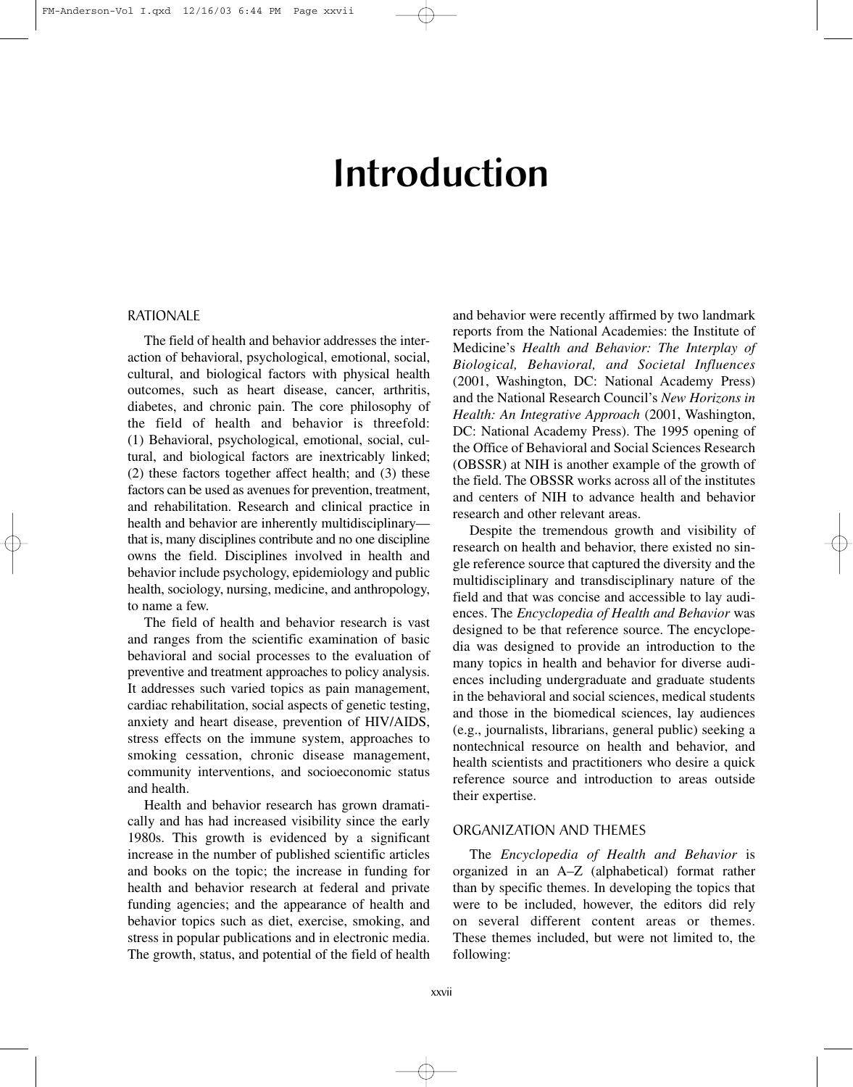# **Introduction**

### RATIONALE

The field of health and behavior addresses the interaction of behavioral, psychological, emotional, social, cultural, and biological factors with physical health outcomes, such as heart disease, cancer, arthritis, diabetes, and chronic pain. The core philosophy of the field of health and behavior is threefold: (1) Behavioral, psychological, emotional, social, cultural, and biological factors are inextricably linked; (2) these factors together affect health; and (3) these factors can be used as avenues for prevention, treatment, and rehabilitation. Research and clinical practice in health and behavior are inherently multidisciplinary that is, many disciplines contribute and no one discipline owns the field. Disciplines involved in health and behavior include psychology, epidemiology and public health, sociology, nursing, medicine, and anthropology, to name a few.

The field of health and behavior research is vast and ranges from the scientific examination of basic behavioral and social processes to the evaluation of preventive and treatment approaches to policy analysis. It addresses such varied topics as pain management, cardiac rehabilitation, social aspects of genetic testing, anxiety and heart disease, prevention of HIV/AIDS, stress effects on the immune system, approaches to smoking cessation, chronic disease management, community interventions, and socioeconomic status and health.

Health and behavior research has grown dramatically and has had increased visibility since the early 1980s. This growth is evidenced by a significant increase in the number of published scientific articles and books on the topic; the increase in funding for health and behavior research at federal and private funding agencies; and the appearance of health and behavior topics such as diet, exercise, smoking, and stress in popular publications and in electronic media. The growth, status, and potential of the field of health and behavior were recently affirmed by two landmark reports from the National Academies: the Institute of Medicine's *Health and Behavior: The Interplay of Biological, Behavioral, and Societal Influences* (2001, Washington, DC: National Academy Press) and the National Research Council's *New Horizons in Health: An Integrative Approach* (2001, Washington, DC: National Academy Press). The 1995 opening of the Office of Behavioral and Social Sciences Research (OBSSR) at NIH is another example of the growth of the field. The OBSSR works across all of the institutes and centers of NIH to advance health and behavior research and other relevant areas.

Despite the tremendous growth and visibility of research on health and behavior, there existed no single reference source that captured the diversity and the multidisciplinary and transdisciplinary nature of the field and that was concise and accessible to lay audiences. The *Encyclopedia of Health and Behavior* was designed to be that reference source. The encyclopedia was designed to provide an introduction to the many topics in health and behavior for diverse audiences including undergraduate and graduate students in the behavioral and social sciences, medical students and those in the biomedical sciences, lay audiences (e.g., journalists, librarians, general public) seeking a nontechnical resource on health and behavior, and health scientists and practitioners who desire a quick reference source and introduction to areas outside their expertise.

#### ORGANIZATION AND THEMES

The *Encyclopedia of Health and Behavior* is organized in an A–Z (alphabetical) format rather than by specific themes. In developing the topics that were to be included, however, the editors did rely on several different content areas or themes. These themes included, but were not limited to, the following: